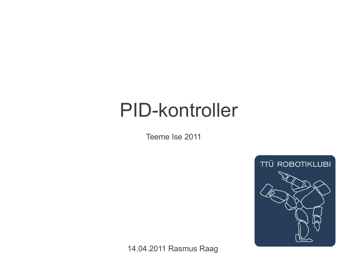### PID-kontroller

Teeme Ise 2011



14.04.2011 Rasmus Raag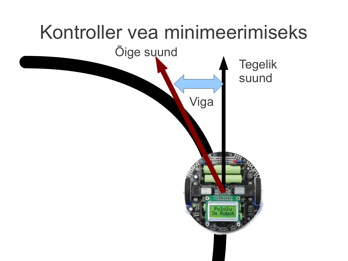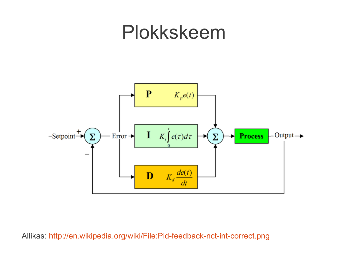### Plokkskeem



#### Allikas: <http://en.wikipedia.org/wiki/File:Pid-feedback-nct-int-correct.png>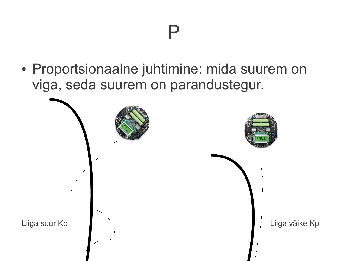### P

• Proportsionaalne juhtimine: mida suurem on viga, seda suurem on parandustegur.

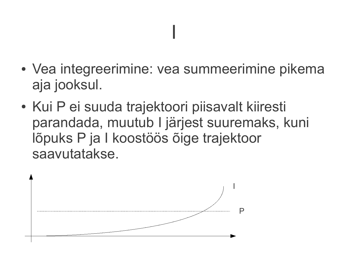### I

- Vea integreerimine: vea summeerimine pikema aja jooksul.
- Kui P ei suuda trajektoori piisavalt kiiresti parandada, muutub I järjest suuremaks, kuni lõpuks P ja I koostöös õige trajektoor saavutatakse.

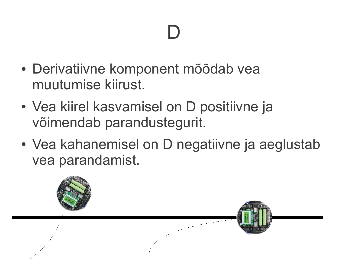# D

- Derivatiivne komponent mõõdab vea muutumise kiirust.
- Vea kiirel kasvamisel on D positiivne ja võimendab parandustegurit.
- Vea kahanemisel on D negatiivne ja aeglustab vea parandamist.

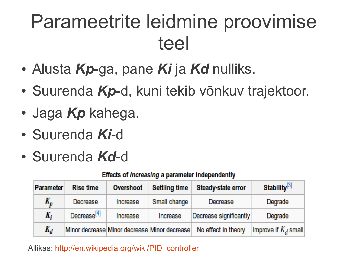# Parameetrite leidmine proovimise teel

- Alusta *Kp*-ga, pane *Ki* ja *Kd* nulliks.
- Suurenda Kp-d, kuni tekib võnkuv trajektoor.
- Jaga *Kp* kahega.
- Suurenda *Ki*-d
- Suurenda *Kd*-d

#### **Effects of increasing a parameter independently**

| <b>Parameter</b> | <b>Rise time</b>        | Overshoot                                    | <b>Settling time</b> | Steady-state error     | Stability <sup>[3]</sup> |
|------------------|-------------------------|----------------------------------------------|----------------------|------------------------|--------------------------|
| $K_p$            | Decrease                | Increase                                     | Small change         | Decrease               | Degrade                  |
| K,               | Decrease <sup>[4]</sup> | Increase                                     | Increase             | Decrease significantly | Degrade                  |
| $K_d$            |                         | Minor decrease Minor decrease Minor decrease |                      | No effect in theory    | Improve if $K_d$ small   |

#### Allikas: [http://en.wikipedia.org/wiki/PID\\_controller](http://en.wikipedia.org/wiki/PID_controller)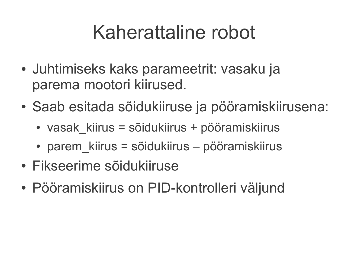# Kaherattaline robot

- Juhtimiseks kaks parameetrit: vasaku ja parema mootori kiirused.
- Saab esitada sõidukiiruse ja pööramiskiirusena:
	- vasak kiirus = sõidukiirus + pööramiskiirus
	- parem kiirus = sõidukiirus pööramiskiirus
- Fikseerime sõidukiiruse
- Pööramiskiirus on PID-kontrolleri väljund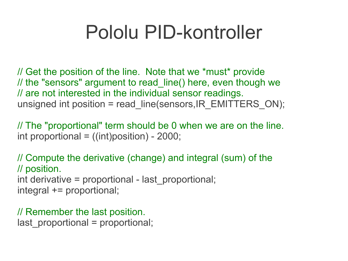## Pololu PID-kontroller

// Get the position of the line. Note that we \*must\* provide // the "sensors" argument to read line() here, even though we // are not interested in the individual sensor readings. unsigned int position = read line(sensors,IR\_EMITTERS\_ON);

// The "proportional" term should be 0 when we are on the line. int proportional  $=$  ((int)position) - 2000;

// Compute the derivative (change) and integral (sum) of the // position. int derivative = proportional - last\_proportional; integral += proportional;

// Remember the last position. last proportional = proportional;